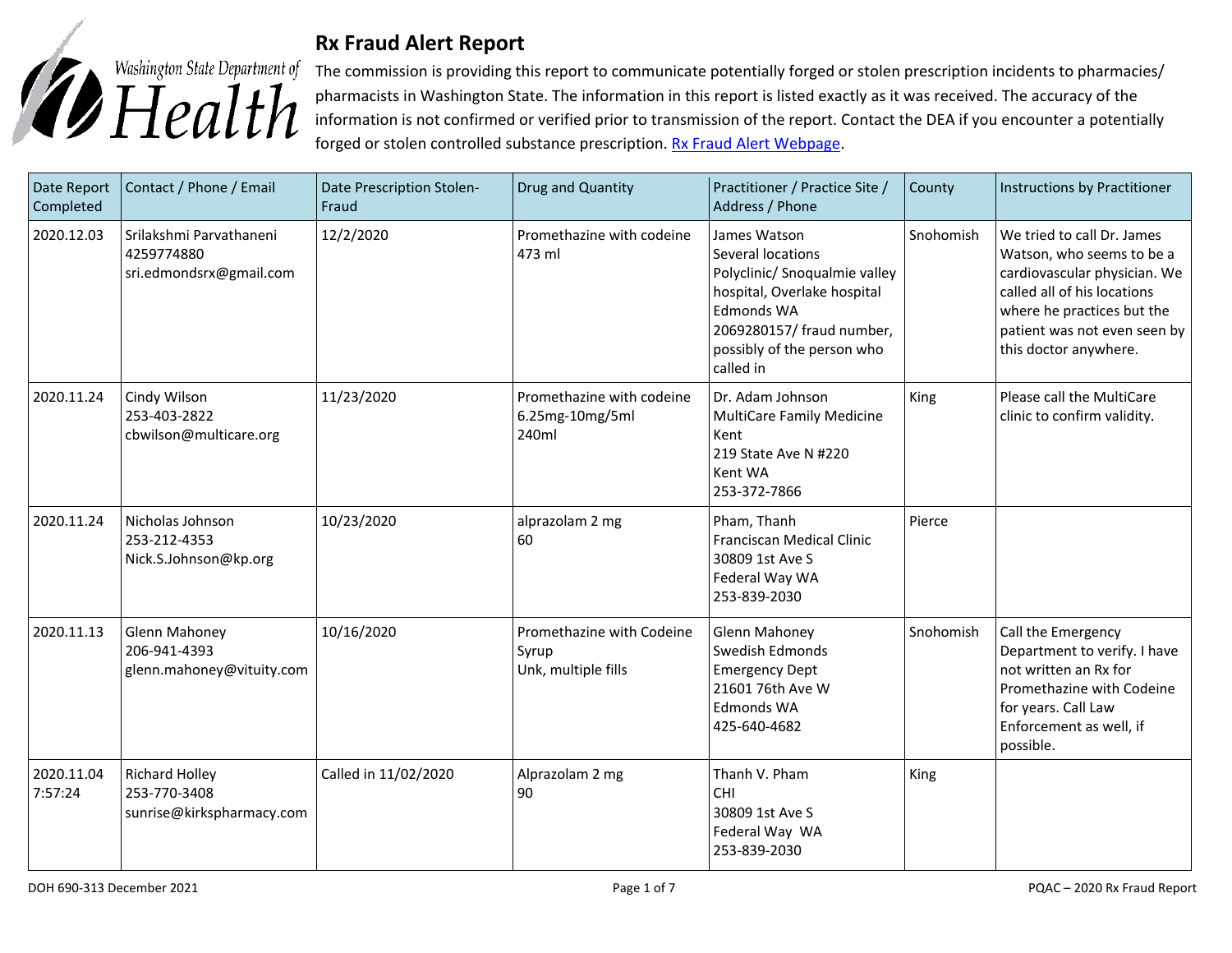

## **Rx Fraud Alert Report**

The commission is providing this report to communicate potentially forged or stolen prescription incidents to pharmacies/ pharmacists in Washington State. The information in this report is listed exactly as it was received. The accuracy of the information is not confirmed or verified prior to transmission of the report. Contact the DEA if you encounter a potentially forged or stolen controlled substance prescription. [Rx Fraud Alert Webpage.](https://www.doh.wa.gov/LicensesPermitsandCertificates/ProfessionsNewReneworUpdate/PharmacyCommission/RxFraudAlerts)

| Date Report<br>Completed | Contact / Phone / Email                                            | Date Prescription Stolen-<br>Fraud | Drug and Quantity                                         | Practitioner / Practice Site /<br>Address / Phone                                                                                                                                              | County    | Instructions by Practitioner                                                                                                                                                                                  |
|--------------------------|--------------------------------------------------------------------|------------------------------------|-----------------------------------------------------------|------------------------------------------------------------------------------------------------------------------------------------------------------------------------------------------------|-----------|---------------------------------------------------------------------------------------------------------------------------------------------------------------------------------------------------------------|
| 2020.12.03               | Srilakshmi Parvathaneni<br>4259774880<br>sri.edmondsrx@gmail.com   | 12/2/2020                          | Promethazine with codeine<br>473 ml                       | James Watson<br>Several locations<br>Polyclinic/ Snoqualmie valley<br>hospital, Overlake hospital<br><b>Edmonds WA</b><br>2069280157/ fraud number,<br>possibly of the person who<br>called in | Snohomish | We tried to call Dr. James<br>Watson, who seems to be a<br>cardiovascular physician. We<br>called all of his locations<br>where he practices but the<br>patient was not even seen by<br>this doctor anywhere. |
| 2020.11.24               | Cindy Wilson<br>253-403-2822<br>cbwilson@multicare.org             | 11/23/2020                         | Promethazine with codeine<br>6.25mg-10mg/5ml<br>240ml     | Dr. Adam Johnson<br><b>MultiCare Family Medicine</b><br>Kent<br>219 State Ave N #220<br>Kent WA<br>253-372-7866                                                                                | King      | Please call the MultiCare<br>clinic to confirm validity.                                                                                                                                                      |
| 2020.11.24               | Nicholas Johnson<br>253-212-4353<br>Nick.S.Johnson@kp.org          | 10/23/2020                         | alprazolam 2 mg<br>60                                     | Pham, Thanh<br>Franciscan Medical Clinic<br>30809 1st Ave S<br>Federal Way WA<br>253-839-2030                                                                                                  | Pierce    |                                                                                                                                                                                                               |
| 2020.11.13               | Glenn Mahoney<br>206-941-4393<br>glenn.mahoney@vituity.com         | 10/16/2020                         | Promethazine with Codeine<br>Syrup<br>Unk, multiple fills | <b>Glenn Mahoney</b><br>Swedish Edmonds<br><b>Emergency Dept</b><br>21601 76th Ave W<br><b>Edmonds WA</b><br>425-640-4682                                                                      | Snohomish | Call the Emergency<br>Department to verify. I have<br>not written an Rx for<br>Promethazine with Codeine<br>for years. Call Law<br>Enforcement as well, if<br>possible.                                       |
| 2020.11.04<br>7:57:24    | <b>Richard Holley</b><br>253-770-3408<br>sunrise@kirkspharmacy.com | Called in 11/02/2020               | Alprazolam 2 mg<br>90                                     | Thanh V. Pham<br>CHI<br>30809 1st Ave S<br>Federal Way WA<br>253-839-2030                                                                                                                      | King      |                                                                                                                                                                                                               |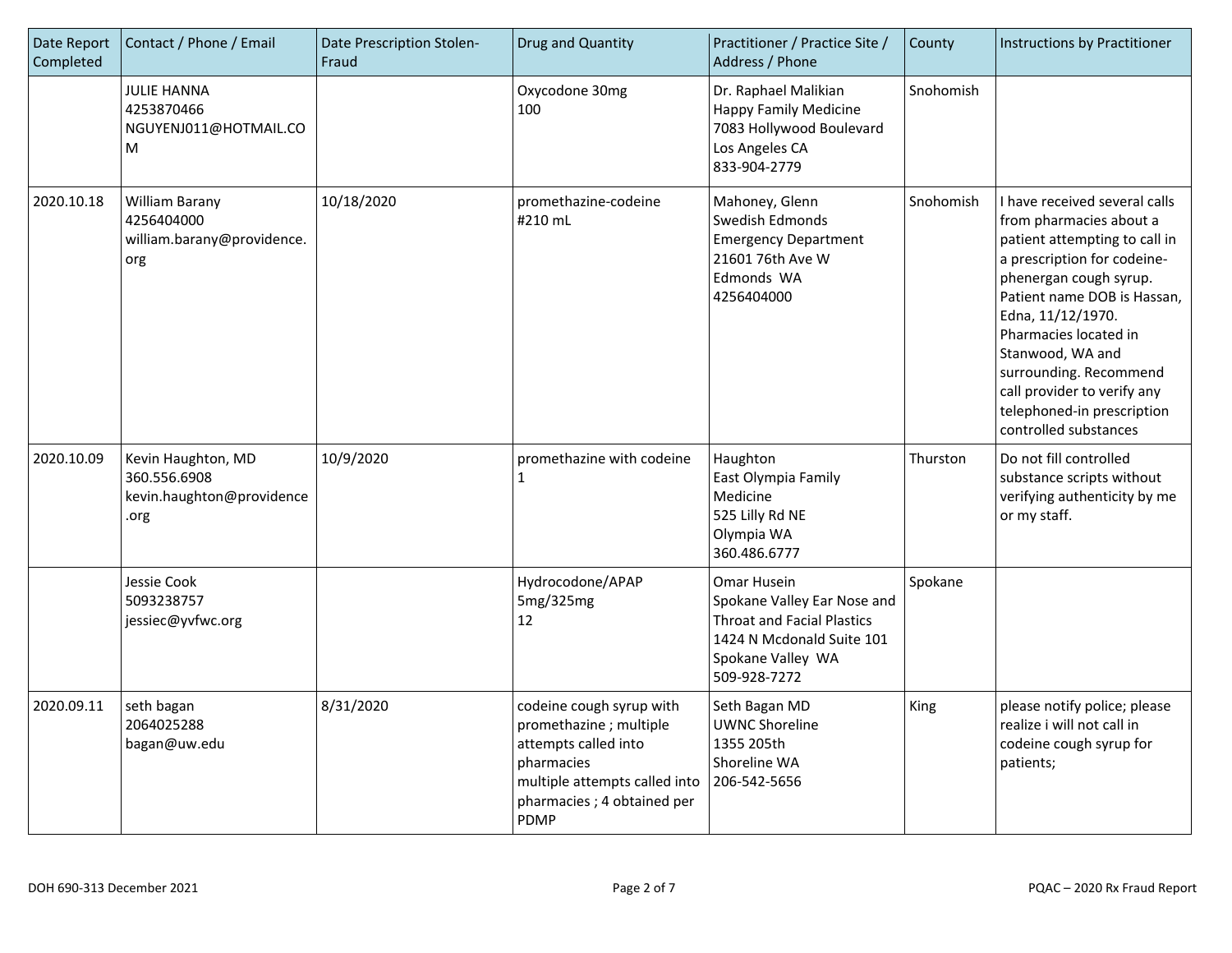| Date Report<br>Completed | Contact / Phone / Email                                                 | Date Prescription Stolen-<br>Fraud | Drug and Quantity                                                                                                                                                      | Practitioner / Practice Site /<br>Address / Phone                                                                                                 | County    | Instructions by Practitioner                                                                                                                                                                                                                                                                                                                                        |
|--------------------------|-------------------------------------------------------------------------|------------------------------------|------------------------------------------------------------------------------------------------------------------------------------------------------------------------|---------------------------------------------------------------------------------------------------------------------------------------------------|-----------|---------------------------------------------------------------------------------------------------------------------------------------------------------------------------------------------------------------------------------------------------------------------------------------------------------------------------------------------------------------------|
|                          | <b>JULIE HANNA</b><br>4253870466<br>NGUYENJ011@HOTMAIL.CO<br>M          |                                    | Oxycodone 30mg<br>100                                                                                                                                                  | Dr. Raphael Malikian<br><b>Happy Family Medicine</b><br>7083 Hollywood Boulevard<br>Los Angeles CA<br>833-904-2779                                | Snohomish |                                                                                                                                                                                                                                                                                                                                                                     |
| 2020.10.18               | William Barany<br>4256404000<br>william.barany@providence.<br>org       | 10/18/2020                         | promethazine-codeine<br>#210 mL                                                                                                                                        | Mahoney, Glenn<br>Swedish Edmonds<br><b>Emergency Department</b><br>21601 76th Ave W<br>Edmonds WA<br>4256404000                                  | Snohomish | I have received several calls<br>from pharmacies about a<br>patient attempting to call in<br>a prescription for codeine-<br>phenergan cough syrup.<br>Patient name DOB is Hassan,<br>Edna, 11/12/1970.<br>Pharmacies located in<br>Stanwood, WA and<br>surrounding. Recommend<br>call provider to verify any<br>telephoned-in prescription<br>controlled substances |
| 2020.10.09               | Kevin Haughton, MD<br>360.556.6908<br>kevin.haughton@providence<br>.org | 10/9/2020                          | promethazine with codeine<br>1                                                                                                                                         | Haughton<br>East Olympia Family<br>Medicine<br>525 Lilly Rd NE<br>Olympia WA<br>360.486.6777                                                      | Thurston  | Do not fill controlled<br>substance scripts without<br>verifying authenticity by me<br>or my staff.                                                                                                                                                                                                                                                                 |
|                          | Jessie Cook<br>5093238757<br>jessiec@yvfwc.org                          |                                    | Hydrocodone/APAP<br>5mg/325mg<br>12                                                                                                                                    | Omar Husein<br>Spokane Valley Ear Nose and<br><b>Throat and Facial Plastics</b><br>1424 N Mcdonald Suite 101<br>Spokane Valley WA<br>509-928-7272 | Spokane   |                                                                                                                                                                                                                                                                                                                                                                     |
| 2020.09.11               | seth bagan<br>2064025288<br>bagan@uw.edu                                | 8/31/2020                          | codeine cough syrup with<br>promethazine; multiple<br>attempts called into<br>pharmacies<br>multiple attempts called into<br>pharmacies; 4 obtained per<br><b>PDMP</b> | Seth Bagan MD<br><b>UWNC Shoreline</b><br>1355 205th<br>Shoreline WA<br>206-542-5656                                                              | King      | please notify police; please<br>realize i will not call in<br>codeine cough syrup for<br>patients;                                                                                                                                                                                                                                                                  |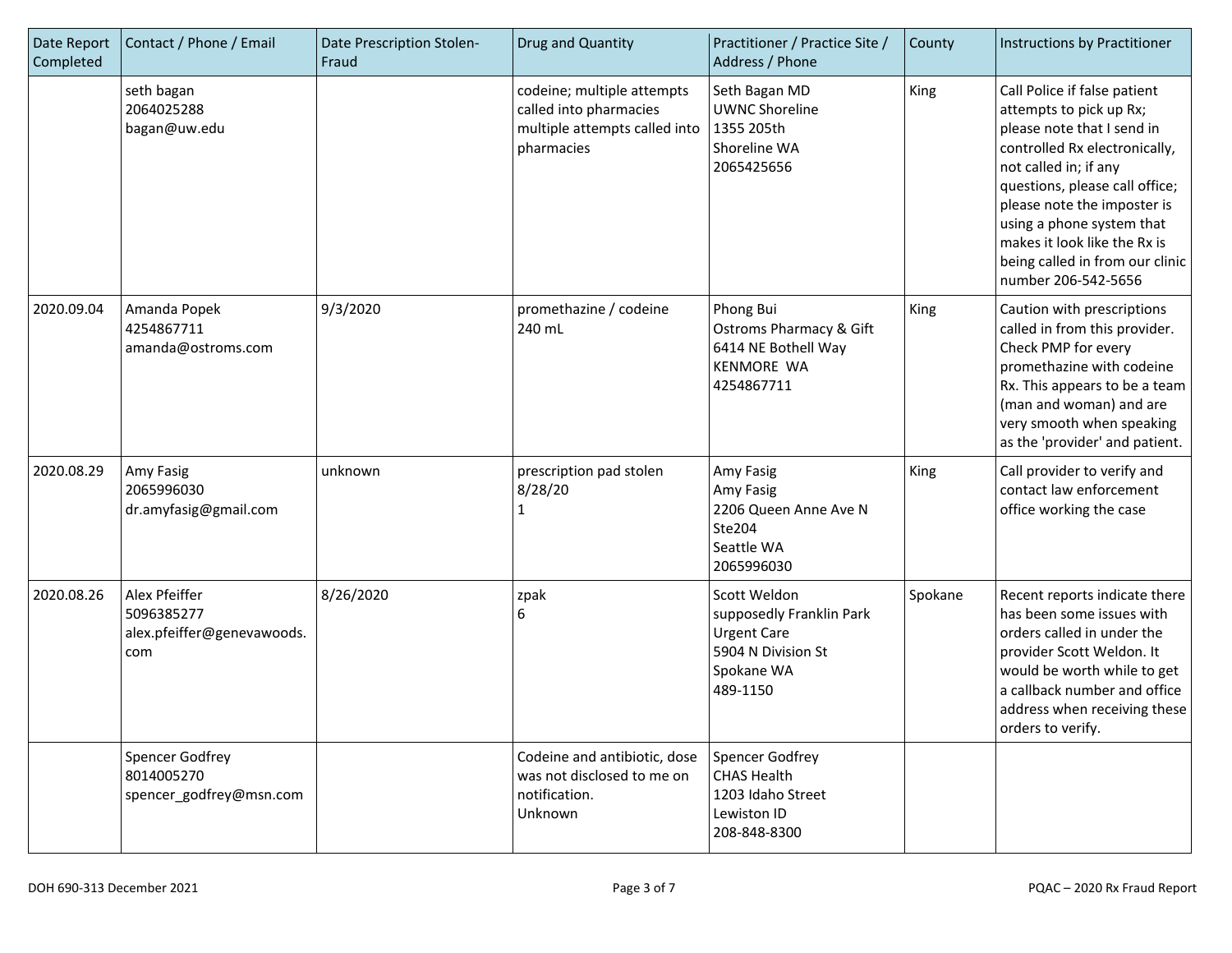| Date Report<br>Completed | Contact / Phone / Email                                          | Date Prescription Stolen-<br>Fraud | Drug and Quantity                                                                                   | Practitioner / Practice Site /<br>Address / Phone                                                              | County  | Instructions by Practitioner                                                                                                                                                                                                                                                                                                            |
|--------------------------|------------------------------------------------------------------|------------------------------------|-----------------------------------------------------------------------------------------------------|----------------------------------------------------------------------------------------------------------------|---------|-----------------------------------------------------------------------------------------------------------------------------------------------------------------------------------------------------------------------------------------------------------------------------------------------------------------------------------------|
|                          | seth bagan<br>2064025288<br>bagan@uw.edu                         |                                    | codeine; multiple attempts<br>called into pharmacies<br>multiple attempts called into<br>pharmacies | Seth Bagan MD<br><b>UWNC Shoreline</b><br>1355 205th<br>Shoreline WA<br>2065425656                             | King    | Call Police if false patient<br>attempts to pick up Rx;<br>please note that I send in<br>controlled Rx electronically,<br>not called in; if any<br>questions, please call office;<br>please note the imposter is<br>using a phone system that<br>makes it look like the Rx is<br>being called in from our clinic<br>number 206-542-5656 |
| 2020.09.04               | Amanda Popek<br>4254867711<br>amanda@ostroms.com                 | 9/3/2020                           | promethazine / codeine<br>240 mL                                                                    | Phong Bui<br><b>Ostroms Pharmacy &amp; Gift</b><br>6414 NE Bothell Way<br><b>KENMORE WA</b><br>4254867711      | King    | Caution with prescriptions<br>called in from this provider.<br>Check PMP for every<br>promethazine with codeine<br>Rx. This appears to be a team<br>(man and woman) and are<br>very smooth when speaking<br>as the 'provider' and patient.                                                                                              |
| 2020.08.29               | Amy Fasig<br>2065996030<br>dr.amyfasig@gmail.com                 | unknown                            | prescription pad stolen<br>8/28/20<br>1                                                             | Amy Fasig<br>Amy Fasig<br>2206 Queen Anne Ave N<br>Ste204<br>Seattle WA<br>2065996030                          | King    | Call provider to verify and<br>contact law enforcement<br>office working the case                                                                                                                                                                                                                                                       |
| 2020.08.26               | Alex Pfeiffer<br>5096385277<br>alex.pfeiffer@genevawoods.<br>com | 8/26/2020                          | zpak<br>6                                                                                           | Scott Weldon<br>supposedly Franklin Park<br><b>Urgent Care</b><br>5904 N Division St<br>Spokane WA<br>489-1150 | Spokane | Recent reports indicate there<br>has been some issues with<br>orders called in under the<br>provider Scott Weldon. It<br>would be worth while to get<br>a callback number and office<br>address when receiving these<br>orders to verify.                                                                                               |
|                          | <b>Spencer Godfrey</b><br>8014005270<br>spencer_godfrey@msn.com  |                                    | Codeine and antibiotic, dose<br>was not disclosed to me on<br>notification.<br>Unknown              | <b>Spencer Godfrey</b><br><b>CHAS Health</b><br>1203 Idaho Street<br>Lewiston ID<br>208-848-8300               |         |                                                                                                                                                                                                                                                                                                                                         |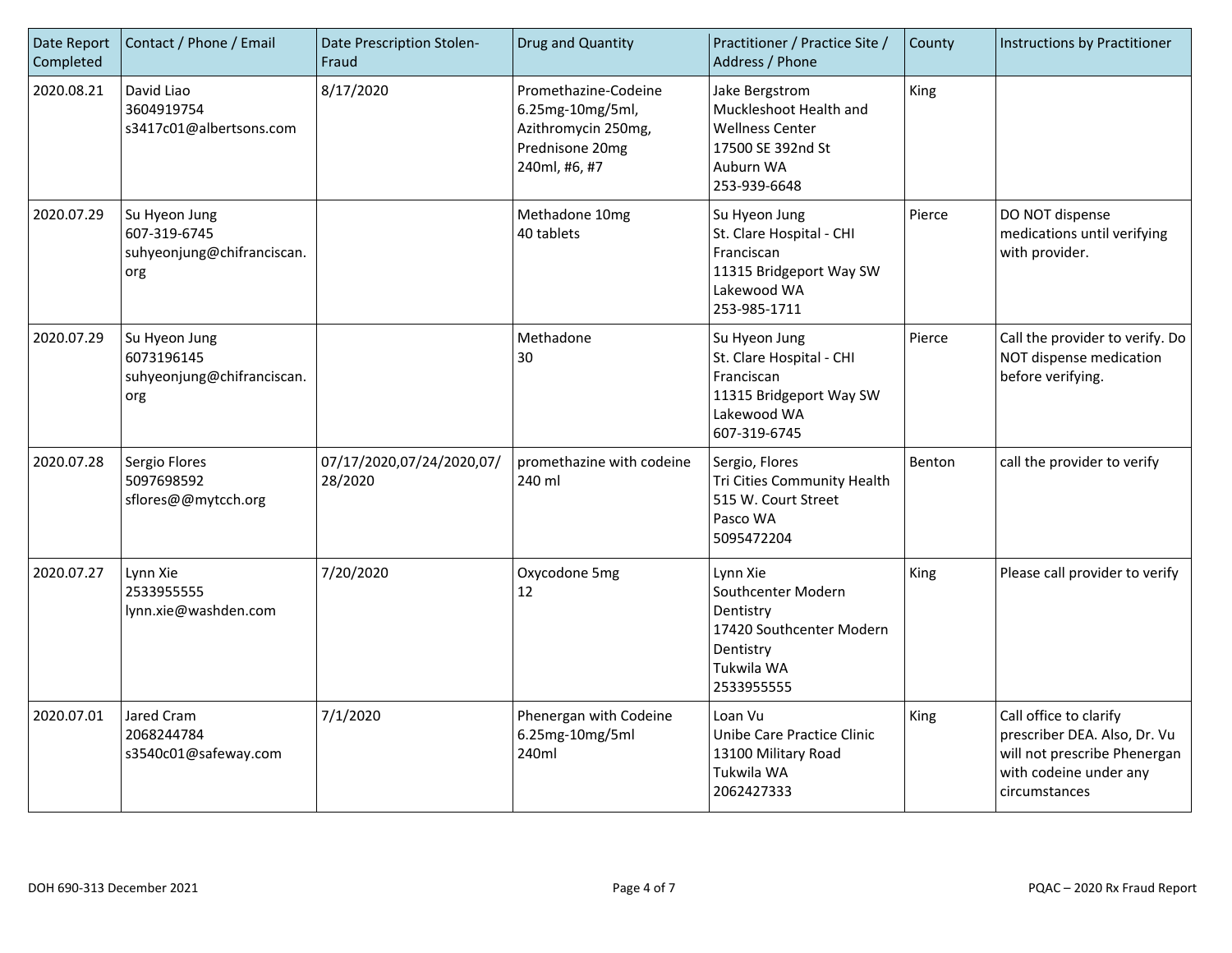| Date Report<br>Completed | Contact / Phone / Email                                            | Date Prescription Stolen-<br>Fraud   | Drug and Quantity                                                                                   | Practitioner / Practice Site /<br>Address / Phone                                                                    | County | <b>Instructions by Practitioner</b>                                                                                               |
|--------------------------|--------------------------------------------------------------------|--------------------------------------|-----------------------------------------------------------------------------------------------------|----------------------------------------------------------------------------------------------------------------------|--------|-----------------------------------------------------------------------------------------------------------------------------------|
| 2020.08.21               | David Liao<br>3604919754<br>s3417c01@albertsons.com                | 8/17/2020                            | Promethazine-Codeine<br>6.25mg-10mg/5ml,<br>Azithromycin 250mg,<br>Prednisone 20mg<br>240ml, #6, #7 | Jake Bergstrom<br>Muckleshoot Health and<br><b>Wellness Center</b><br>17500 SE 392nd St<br>Auburn WA<br>253-939-6648 | King   |                                                                                                                                   |
| 2020.07.29               | Su Hyeon Jung<br>607-319-6745<br>suhyeonjung@chifranciscan.<br>org |                                      | Methadone 10mg<br>40 tablets                                                                        | Su Hyeon Jung<br>St. Clare Hospital - CHI<br>Franciscan<br>11315 Bridgeport Way SW<br>Lakewood WA<br>253-985-1711    | Pierce | DO NOT dispense<br>medications until verifying<br>with provider.                                                                  |
| 2020.07.29               | Su Hyeon Jung<br>6073196145<br>suhyeonjung@chifranciscan.<br>org   |                                      | Methadone<br>30                                                                                     | Su Hyeon Jung<br>St. Clare Hospital - CHI<br>Franciscan<br>11315 Bridgeport Way SW<br>Lakewood WA<br>607-319-6745    | Pierce | Call the provider to verify. Do<br>NOT dispense medication<br>before verifying.                                                   |
| 2020.07.28               | Sergio Flores<br>5097698592<br>sflores@@mytcch.org                 | 07/17/2020,07/24/2020,07/<br>28/2020 | promethazine with codeine<br>240 ml                                                                 | Sergio, Flores<br>Tri Cities Community Health<br>515 W. Court Street<br>Pasco WA<br>5095472204                       | Benton | call the provider to verify                                                                                                       |
| 2020.07.27               | Lynn Xie<br>25339555555<br>lynn.xie@washden.com                    | 7/20/2020                            | Oxycodone 5mg<br>12                                                                                 | Lynn Xie<br>Southcenter Modern<br>Dentistry<br>17420 Southcenter Modern<br>Dentistry<br>Tukwila WA<br>2533955555     | King   | Please call provider to verify                                                                                                    |
| 2020.07.01               | Jared Cram<br>2068244784<br>s3540c01@safeway.com                   | 7/1/2020                             | Phenergan with Codeine<br>6.25mg-10mg/5ml<br>240ml                                                  | Loan Vu<br>Unibe Care Practice Clinic<br>13100 Military Road<br>Tukwila WA<br>2062427333                             | King   | Call office to clarify<br>prescriber DEA. Also, Dr. Vu<br>will not prescribe Phenergan<br>with codeine under any<br>circumstances |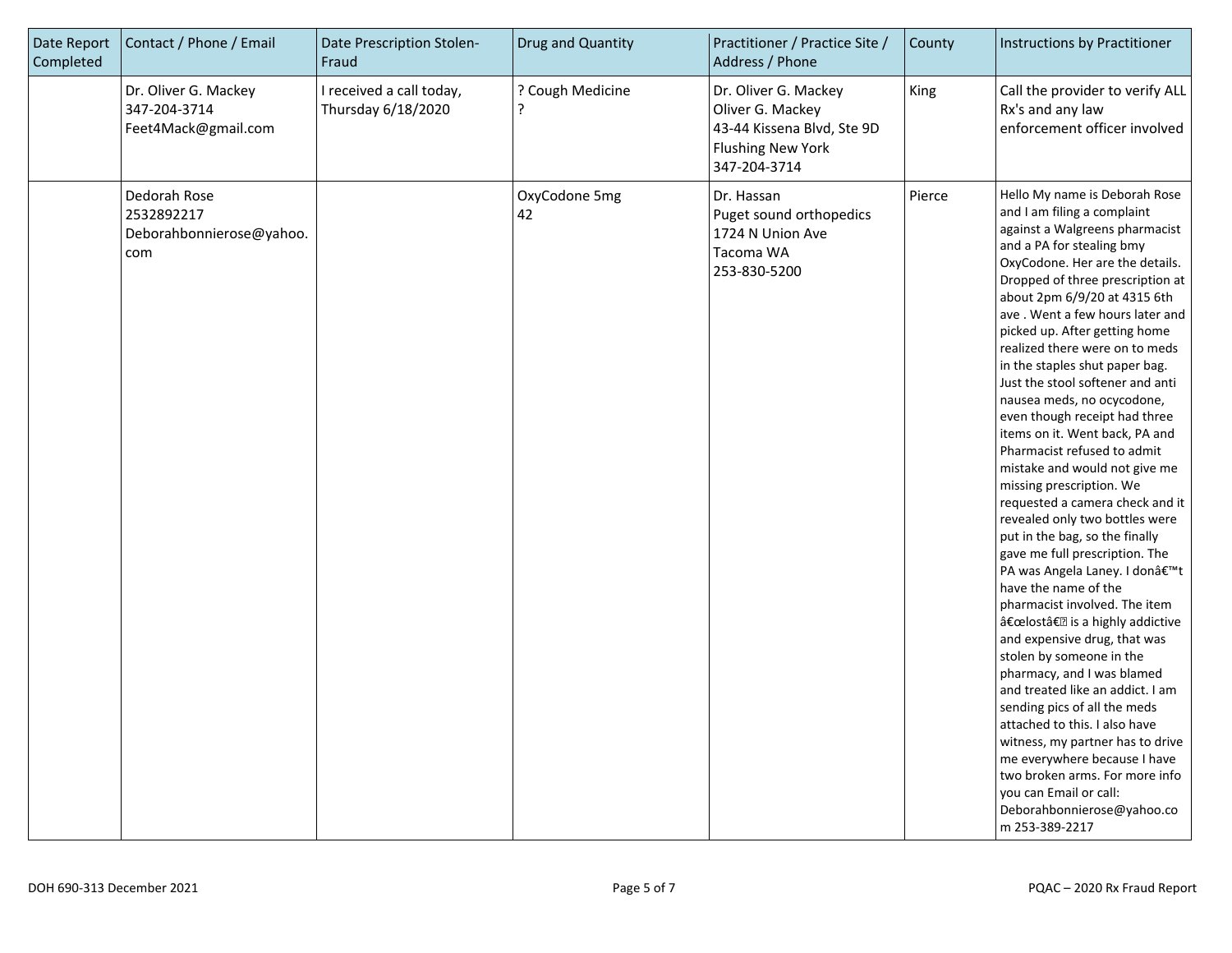| Date Report<br>Completed | Contact / Phone / Email                                       | Date Prescription Stolen-<br>Fraud             | Drug and Quantity     | Practitioner / Practice Site /<br>Address / Phone                                                                  | County | Instructions by Practitioner                                                                                                                                                                                                                                                                                                                                                                                                                                                                                                                                                                                                                                                                                                                                                                                                                                                                                                                                                                                                                                                                                                                                                                                                                                                          |
|--------------------------|---------------------------------------------------------------|------------------------------------------------|-----------------------|--------------------------------------------------------------------------------------------------------------------|--------|---------------------------------------------------------------------------------------------------------------------------------------------------------------------------------------------------------------------------------------------------------------------------------------------------------------------------------------------------------------------------------------------------------------------------------------------------------------------------------------------------------------------------------------------------------------------------------------------------------------------------------------------------------------------------------------------------------------------------------------------------------------------------------------------------------------------------------------------------------------------------------------------------------------------------------------------------------------------------------------------------------------------------------------------------------------------------------------------------------------------------------------------------------------------------------------------------------------------------------------------------------------------------------------|
|                          | Dr. Oliver G. Mackey<br>347-204-3714<br>Feet4Mack@gmail.com   | I received a call today,<br>Thursday 6/18/2020 | ? Cough Medicine<br>? | Dr. Oliver G. Mackey<br>Oliver G. Mackey<br>43-44 Kissena Blvd, Ste 9D<br><b>Flushing New York</b><br>347-204-3714 | King   | Call the provider to verify ALL<br>Rx's and any law<br>enforcement officer involved                                                                                                                                                                                                                                                                                                                                                                                                                                                                                                                                                                                                                                                                                                                                                                                                                                                                                                                                                                                                                                                                                                                                                                                                   |
|                          | Dedorah Rose<br>2532892217<br>Deborahbonnierose@yahoo.<br>com |                                                | OxyCodone 5mg<br>42   | Dr. Hassan<br>Puget sound orthopedics<br>1724 N Union Ave<br>Tacoma WA<br>253-830-5200                             | Pierce | Hello My name is Deborah Rose<br>and I am filing a complaint<br>against a Walgreens pharmacist<br>and a PA for stealing bmy<br>OxyCodone. Her are the details.<br>Dropped of three prescription at<br>about 2pm 6/9/20 at 4315 6th<br>ave. Went a few hours later and<br>picked up. After getting home<br>realized there were on to meds<br>in the staples shut paper bag.<br>Just the stool softener and anti<br>nausea meds, no ocycodone,<br>even though receipt had three<br>items on it. Went back, PA and<br>Pharmacist refused to admit<br>mistake and would not give me<br>missing prescription. We<br>requested a camera check and it<br>revealed only two bottles were<br>put in the bag, so the finally<br>gave me full prescription. The<br>PA was Angela Laney. I donâ€ <sup>™</sup> t<br>have the name of the<br>pharmacist involved. The item<br>"lostâ€ <b>?</b> is a highly addictive<br>and expensive drug, that was<br>stolen by someone in the<br>pharmacy, and I was blamed<br>and treated like an addict. I am<br>sending pics of all the meds<br>attached to this. I also have<br>witness, my partner has to drive<br>me everywhere because I have<br>two broken arms. For more info<br>you can Email or call:<br>Deborahbonnierose@yahoo.co<br>m 253-389-2217 |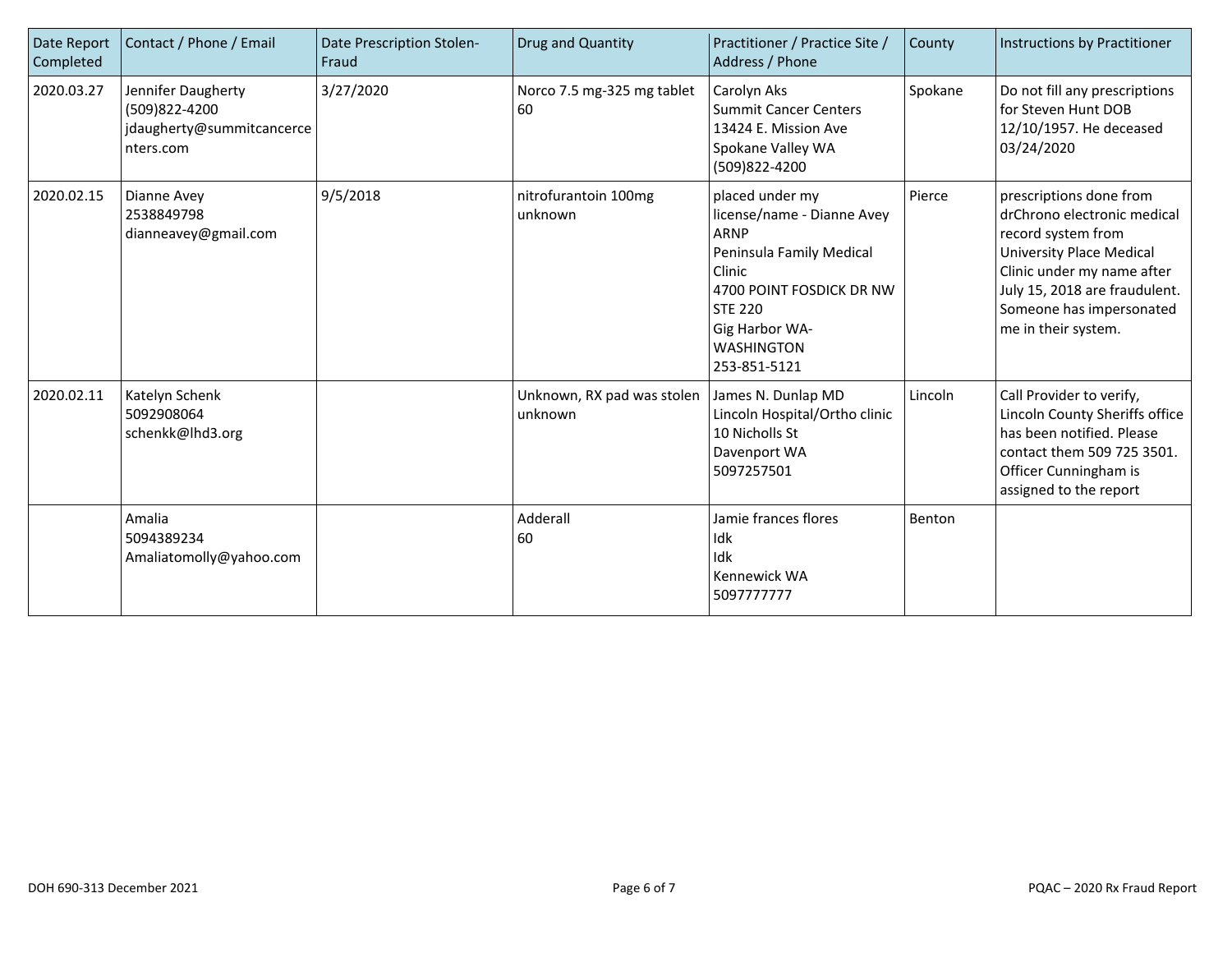| Date Report<br>Completed | Contact / Phone / Email                                                       | Date Prescription Stolen-<br>Fraud | Drug and Quantity                     | Practitioner / Practice Site /<br>Address / Phone                                                                                                                                                | County  | Instructions by Practitioner                                                                                                                                                                                                      |
|--------------------------|-------------------------------------------------------------------------------|------------------------------------|---------------------------------------|--------------------------------------------------------------------------------------------------------------------------------------------------------------------------------------------------|---------|-----------------------------------------------------------------------------------------------------------------------------------------------------------------------------------------------------------------------------------|
| 2020.03.27               | Jennifer Daugherty<br>(509)822-4200<br>jdaugherty@summitcancerce<br>nters.com | 3/27/2020                          | Norco 7.5 mg-325 mg tablet<br>60      | Carolyn Aks<br><b>Summit Cancer Centers</b><br>13424 E. Mission Ave<br>Spokane Valley WA<br>(509)822-4200                                                                                        | Spokane | Do not fill any prescriptions<br>for Steven Hunt DOB<br>12/10/1957. He deceased<br>03/24/2020                                                                                                                                     |
| 2020.02.15               | Dianne Avey<br>2538849798<br>dianneavey@gmail.com                             | 9/5/2018                           | nitrofurantoin 100mg<br>unknown       | placed under my<br>license/name - Dianne Avey<br>ARNP<br>Peninsula Family Medical<br>Clinic<br>4700 POINT FOSDICK DR NW<br><b>STE 220</b><br>Gig Harbor WA-<br><b>WASHINGTON</b><br>253-851-5121 | Pierce  | prescriptions done from<br>drChrono electronic medical<br>record system from<br><b>University Place Medical</b><br>Clinic under my name after<br>July 15, 2018 are fraudulent.<br>Someone has impersonated<br>me in their system. |
| 2020.02.11               | Katelyn Schenk<br>5092908064<br>schenkk@lhd3.org                              |                                    | Unknown, RX pad was stolen<br>unknown | James N. Dunlap MD<br>Lincoln Hospital/Ortho clinic<br>10 Nicholls St<br>Davenport WA<br>5097257501                                                                                              | Lincoln | Call Provider to verify,<br>Lincoln County Sheriffs office<br>has been notified. Please<br>contact them 509 725 3501.<br>Officer Cunningham is<br>assigned to the report                                                          |
|                          | Amalia<br>5094389234<br>Amaliatomolly@yahoo.com                               |                                    | Adderall<br>60                        | Jamie frances flores<br>Idk<br>Idk<br>Kennewick WA<br>5097777777                                                                                                                                 | Benton  |                                                                                                                                                                                                                                   |